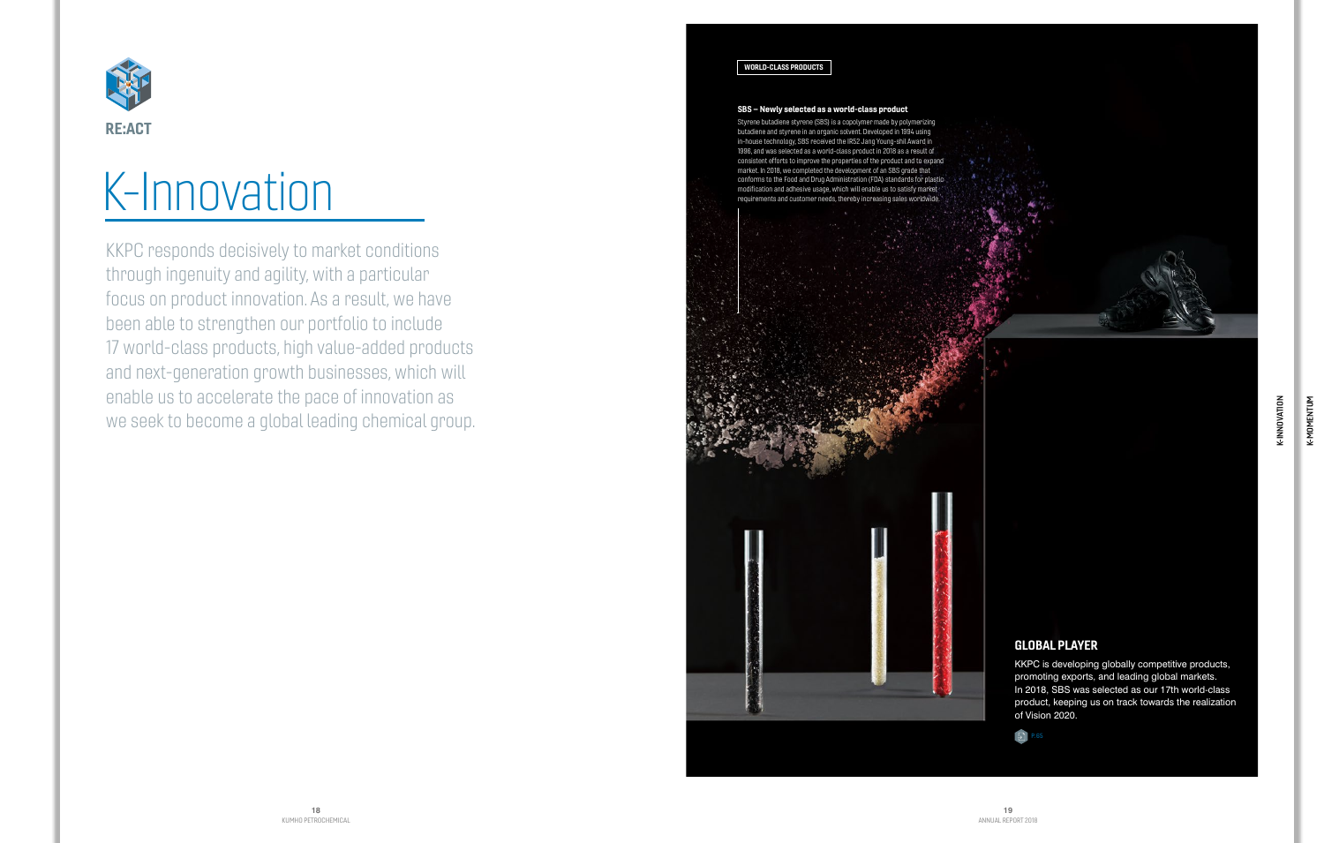K-INNOVATION

K-INNOVATION

# GLOBAL PLAYER

KKPC is developing globally competitive products, promoting exports, and leading global markets. In 2018, SBS was selected as our 17th world-class product, keeping us on track towards the realization of Vision 2020.

## SBS – Newly selected as a world-class product

Styrene butadiene styrene (SBS) is a copolymer made by polymerizing butadiene and styrene in an organic solvent. Developed in 1994 using in-house technology, SBS received the IR52 Jang Young-shil Award in 1996, and was selected as a world-class product in 2018 as a result of consistent efforts to improve the properties of the product and to expand market. In 2018, we completed the development of an SBS grade that conforms to the Food and Drug Administration (FDA) standards for plastic

KKPC responds decisively to market conditions through ingenuity and agility, with a particular focus on product innovation. As a result, we have been able to strengthen our portfolio to include 17 world-class products, high value-added products and next-generation growth businesses, which will enable us to accelerate the pace of innovation as we seek to become a global leading chemical group.





# WORLD-CLASS PRODUCTS



# market in 2016, we completed the development of an 565 grade that<br>conforms to the Food and Drug Administration (FDA) standard modification and adhesive usage, which will enable us to satisfy market<br>requirements and custome

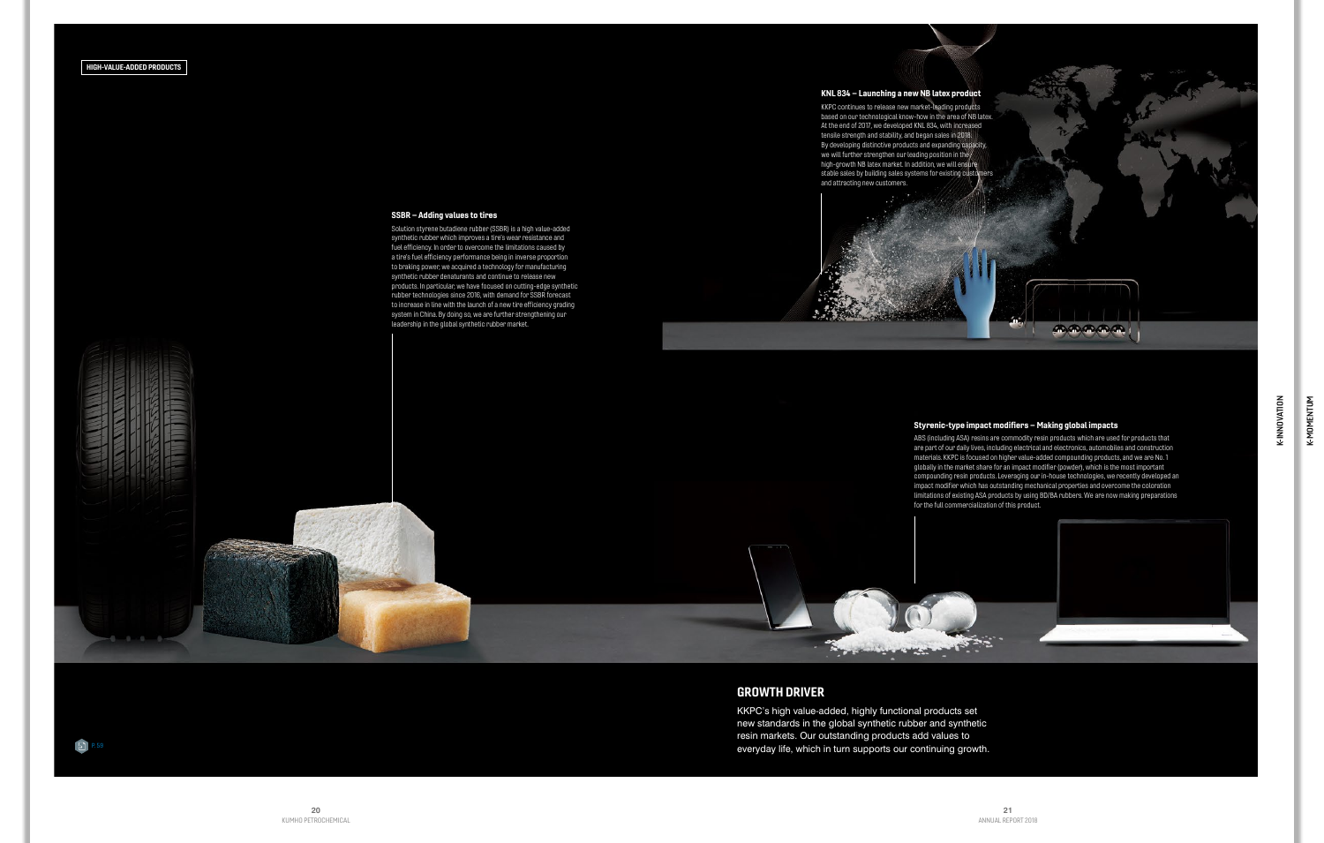K-INNOVATION

K-INNOVATION

# GROWTH DRIVER

KKPC's high value-added, highly functional products set new standards in the global synthetic rubber and synthetic resin markets. Our outstanding products add values to everyday life, which in turn supports our continuing growth.

**By political property** 

# $\boxed{5}$  P.59



SSBR – Adding values to tires

Solution styrene butadiene rubber (SSBR) is a high value-added synthetic rubber which improves a tire's wear resistance and fuel efficiency. In order to overcome the limitations caused by a tire's fuel efficiency performance being in inverse proportion to braking power, we acquired a technology for manufacturing synthetic rubber denaturants and continue to release new products. In particular, we have focused on cutting-edge synthetic rubber technologies since 2016, with demand for SSBR forecast to increase in line with the launch of a new tire efficiency grading system in China. By doing so, we are further strengthening our leadership in the global synthetic rubber market.

# Styrenic-type impact modifiers – Making global impacts

ABS (including ASA) resins are commodity resin products which are used for products that are part of our daily lives, including electrical and electronics, automobiles and construction materials. KKPC is focused on higher value-added compounding products, and we are No. 1 globally in the market share for an impact modifier (powder), which is the most important compounding resin products. Leveraging our in-house technologies, we recently developed an impact modifier which has outstanding mechanical properties and overcome the coloration limitations of existing ASA products by using BD/BA rubbers. We are now making preparations for the full commercialization of this product.